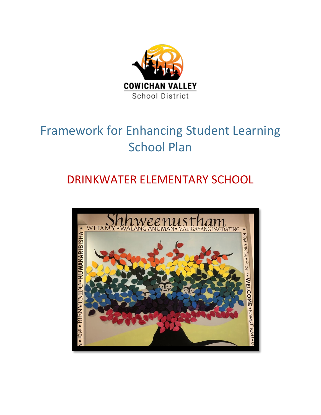

# Framework for Enhancing Student Learning School Plan

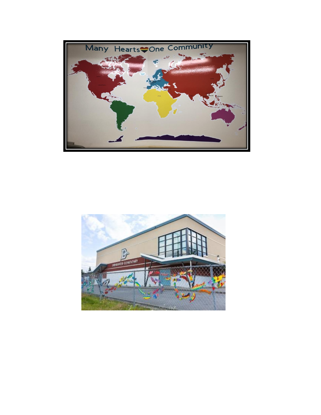

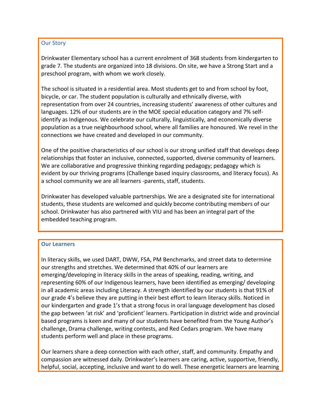#### Our Story

Drinkwater Elementary school has a current enrolment of 368 students from kindergarten to grade 7. The students are organized into 18 divisions. On site, we have a Strong Start and a preschool program, with whom we work closely.

The school is situated in a residential area. Most students get to and from school by foot, bicycle, or car. The student population is culturally and ethnically diverse, with representation from over 24 countries, increasing students' awareness of other cultures and languages. 12% of our students are in the MOE special education category and 7% selfidentify as Indigenous. We celebrate our culturally, linguistically, and economically diverse population as a true neighbourhood school, where all families are honoured. We revel in the connections we have created and developed in our community.

One of the positive characteristics of our school is our strong unified staff that develops deep relationships that foster an inclusive, connected, supported, diverse community of learners. We are collaborative and progressive thinking regarding pedagogy; pedagogy which is evident by our thriving programs (Challenge based inquiry classrooms, and literacy focus). As a school community we are all learners -parents, staff, students.

Drinkwater has developed valuable partnerships. We are a designated site for international students, these students are welcomed and quickly become contributing members of our school. Drinkwater has also partnered with VIU and has been an integral part of the embedded teaching program.

#### **Our Learners**

In literacy skills, we used DART, DWW, FSA, PM Benchmarks, and street data to determine our strengths and stretches. We determined that 40% of our learners are emerging/developing in literacy skills in the areas of speaking, reading, writing, and representing 60% of our Indigenous learners, have been identified as emerging/ developing in all academic areas including Literacy. A strength identified by our students is that 91% of our grade 4's believe they are putting in their best effort to learn literacy skills. Noticed in our kindergarten and grade 1's that a strong focus in oral language development has closed the gap between 'at risk' and 'proficient' learners. Participation in district wide and provincial based programs is keen and many of our students have benefited from the Young Author's challenge, Drama challenge, writing contests, and Red Cedars program. We have many students perform well and place in these programs.

Our learners share a deep connection with each other, staff, and community. Empathy and compassion are witnessed daily. Drinkwater's learners are caring, active, supportive, friendly, helpful, social, accepting, inclusive and want to do well. These energetic learners are learning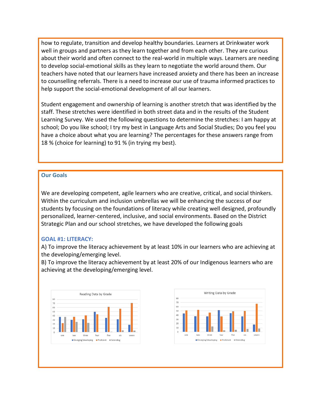how to regulate, transition and develop healthy boundaries. Learners at Drinkwater work well in groups and partners as they learn together and from each other. They are curious about their world and often connect to the real-world in multiple ways. Learners are needing to develop social-emotional skills as they learn to negotiate the world around them. Our teachers have noted that our learners have increased anxiety and there has been an increase to counselling referrals. There is a need to increase our use of trauma informed practices to help support the social-emotional development of all our learners.

Student engagement and ownership of learning is another stretch that was identified by the staff. These stretches were identified in both street data and in the results of the Student Learning Survey. We used the following questions to determine the stretches: I am happy at school; Do you like school; I try my best in Language Arts and Social Studies; Do you feel you have a choice about what you are learning? The percentages for these answers range from 18 % (choice for learning) to 91 % (in trying my best).

#### **Our Goals**

We are developing competent, agile learners who are creative, critical, and social thinkers. Within the curriculum and inclusion umbrellas we will be enhancing the success of our students by focusing on the foundations of literacy while creating well designed, profoundly personalized, learner-centered, inclusive, and social environments. Based on the District Strategic Plan and our school stretches, we have developed the following goals

#### **GOAL #1: LITERACY:**

A) To improve the literacy achievement by at least 10% in our learners who are achieving at the developing/emerging level.

B) To improve the literacy achievement by at least 20% of our Indigenous learners who are achieving at the developing/emerging level.

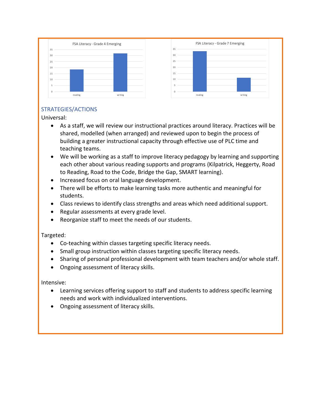

# STRATEGIES/ACTIONS

Universal:

- As a staff, we will review our instructional practices around literacy. Practices will be shared, modelled (when arranged) and reviewed upon to begin the process of building a greater instructional capacity through effective use of PLC time and teaching teams.
- We will be working as a staff to improve literacy pedagogy by learning and supporting each other about various reading supports and programs (Kilpatrick, Heggerty, Road to Reading, Road to the Code, Bridge the Gap, SMART learning).
- Increased focus on oral language development.
- There will be efforts to make learning tasks more authentic and meaningful for students.
- Class reviews to identify class strengths and areas which need additional support.
- Regular assessments at every grade level.
- Reorganize staff to meet the needs of our students.

## Targeted:

- Co-teaching within classes targeting specific literacy needs.
- Small group instruction within classes targeting specific literacy needs.
- Sharing of personal professional development with team teachers and/or whole staff.
- Ongoing assessment of literacy skills.

Intensive:

- Learning services offering support to staff and students to address specific learning needs and work with individualized interventions.
- Ongoing assessment of literacy skills.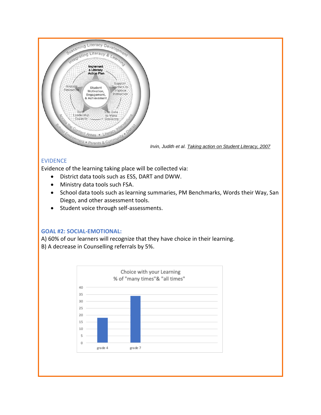

## EVIDENCE

Evidence of the learning taking place will be collected via:

- District data tools such as ESS, DART and DWW.
- Ministry data tools such FSA.
- School data tools such as learning summaries, PM Benchmarks, Words their Way, San Diego, and other assessment tools.
- Student voice through self-assessments.

# **GOAL #2: SOCIAL-EMOTIONAL:**

A) 60% of our learners will recognize that they have choice in their learning. B) A decrease in Counselling referrals by 5%.

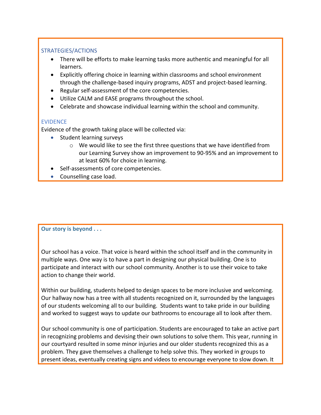# STRATEGIES/ACTIONS

- There will be efforts to make learning tasks more authentic and meaningful for all learners.
- Explicitly offering choice in learning within classrooms and school environment through the challenge-based inquiry programs, ADST and project-based learning.
- Regular self-assessment of the core competencies.
- Utilize CALM and EASE programs throughout the school.
- Celebrate and showcase individual learning within the school and community.

## EVIDENCE

Evidence of the growth taking place will be collected via:

- Student learning surveys
	- $\circ$  We would like to see the first three questions that we have identified from our Learning Survey show an improvement to 90-95% and an improvement to at least 60% for choice in learning.
- Self-assessments of core competencies.
- Counselling case load.

## **Our story is beyond . . .**

Our school has a voice. That voice is heard within the school itself and in the community in multiple ways. One way is to have a part in designing our physical building. One is to participate and interact with our school community. Another is to use their voice to take action to change their world.

Within our building, students helped to design spaces to be more inclusive and welcoming. Our hallway now has a tree with all students recognized on it, surrounded by the languages of our students welcoming all to our building. Students want to take pride in our building and worked to suggest ways to update our bathrooms to encourage all to look after them.

Our school community is one of participation. Students are encouraged to take an active part in recognizing problems and devising their own solutions to solve them. This year, running in our courtyard resulted in some minor injuries and our older students recognized this as a problem. They gave themselves a challenge to help solve this. They worked in groups to present ideas, eventually creating signs and videos to encourage everyone to slow down. It